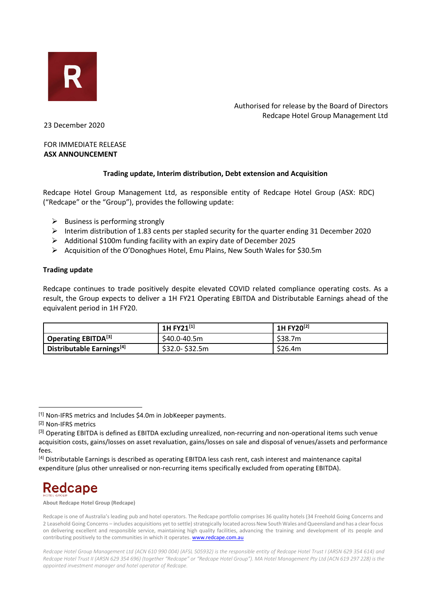

Authorised for release by the Board of Directors Redcape Hotel Group Management Ltd

23 December 2020

### FOR IMMEDIATE RELEASE **ASX ANNOUNCEMENT**

## **Trading update, Interim distribution, Debt extension and Acquisition**

Redcape Hotel Group Management Ltd, as responsible entity of Redcape Hotel Group (ASX: RDC) ("Redcape" or the "Group"), provides the following update:

- $\triangleright$  Business is performing strongly
- Interim distribution of 1.83 cents per stapled security for the quarter ending 31 December 2020
- Additional \$100m funding facility with an expiry date of December 2025
- Acquisition of the O'Donoghues Hotel, Emu Plains, New South Wales for \$30.5m

## **Trading update**

Redcape continues to trade positively despite elevated COVID related compliance operating costs. As a result, the Group expects to deliver a 1H FY21 Operating EBITDA and Distributable Earnings ahead of the equivalent period in 1H FY20.

|                                              | 1H FY21[1]     | 1H FY20 <sup>[2]</sup> |
|----------------------------------------------|----------------|------------------------|
| <sup>1</sup> Operating EBITDA <sup>[3]</sup> | \$40.0-40.5m   | \$38.7m                |
| Distributable Earnings <sup>[4]</sup>        | \$32.0-\$32.5m | \$26.4m                |

# **Redcape**

**About Redcape Hotel Group (Redcape)**

<span id="page-0-0"></span><sup>[1]</sup> Non-IFRS metrics and Includes \$4.0m in JobKeeper payments.

<span id="page-0-1"></span><sup>[2]</sup> Non-IFRS metrics

<span id="page-0-2"></span><sup>&</sup>lt;sup>[3]</sup> Operating EBITDA is defined as EBITDA excluding unrealized, non-recurring and non-operational items such venue acquisition costs, gains/losses on asset revaluation, gains/losses on sale and disposal of venues/assets and performance fees.

<span id="page-0-3"></span><sup>[4]</sup> Distributable Earnings is described as operating EBITDA less cash rent, cash interest and maintenance capital expenditure (plus other unrealised or non-recurring items specifically excluded from operating EBITDA).

Redcape is one of Australia's leading pub and hotel operators. The Redcape portfolio comprises 36 quality hotels (34 Freehold Going Concerns and 2 Leasehold Going Concerns – includes acquisitions yet to settle) strategically located across New South Wales and Queensland and has a clear focus on delivering excellent and responsible service, maintaining high quality facilities, advancing the training and development of its people and contributing positively to the communities in which it operates. **www.redcape.com.au** 

*Redcape Hotel Group Management Ltd (ACN 610 990 004) (AFSL 505932) is the responsible entity of Redcape Hotel Trust I (ARSN 629 354 614) and Redcape Hotel Trust II (ARSN 629 354 696) (together "Redcape" or "Redcape Hotel Group"). MA Hotel Management Pty Ltd (ACN 619 297 228) is the appointed investment manager and hotel operator of Redcape.*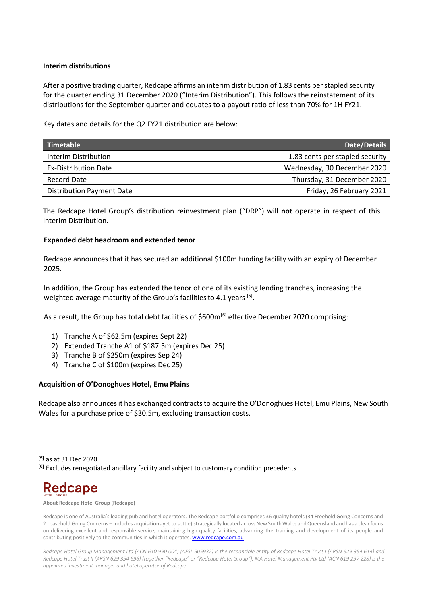#### **Interim distributions**

After a positive trading quarter, Redcape affirms an interim distribution of 1.83 cents per stapled security for the quarter ending 31 December 2020 ("Interim Distribution"). This follows the reinstatement of its distributions for the September quarter and equates to a payout ratio of less than 70% for 1H FY21.

Key dates and details for the Q2 FY21 distribution are below:

| Timetable                        | Date/Details                    |
|----------------------------------|---------------------------------|
| Interim Distribution             | 1.83 cents per stapled security |
| <b>Ex-Distribution Date</b>      | Wednesday, 30 December 2020     |
| Record Date                      | Thursday, 31 December 2020      |
| <b>Distribution Payment Date</b> | Friday, 26 February 2021        |

The Redcape Hotel Group's distribution reinvestment plan ("DRP") will **not** operate in respect of this Interim Distribution.

#### **Expanded debt headroom and extended tenor**

Redcape announces that it has secured an additional \$100m funding facility with an expiry of December 2025.

In addition, the Group has extended the tenor of one of its existing lending tranches, increasing the weighted average maturity of the Group's facilities to 4.1 years [5].

As a result, the Group has total debt facilities of \$600m<sup>[\[6\]](#page-1-0)</sup> effective December 2020 comprising:

- 1) Tranche A of \$62.5m (expires Sept 22)
- 2) Extended Tranche A1 of \$187.5m (expires Dec 25)
- 3) Tranche B of \$250m (expires Sep 24)
- 4) Tranche C of \$100m (expires Dec 25)

#### **Acquisition of O'Donoghues Hotel, Emu Plains**

Redcape also announces it has exchanged contracts to acquire the O'Donoghues Hotel, Emu Plains, New South Wales for a purchase price of \$30.5m, excluding transaction costs.

# Redcape

**About Redcape Hotel Group (Redcape)**

<span id="page-1-0"></span><sup>[5]</sup> as at 31 Dec 2020

<sup>&</sup>lt;sup>[6]</sup> Excludes renegotiated ancillary facility and subject to customary condition precedents

Redcape is one of Australia's leading pub and hotel operators. The Redcape portfolio comprises 36 quality hotels (34 Freehold Going Concerns and 2 Leasehold Going Concerns – includes acquisitions yet to settle) strategically located across New South Wales and Queensland and has a clear focus on delivering excellent and responsible service, maintaining high quality facilities, advancing the training and development of its people and contributing positively to the communities in which it operates. **www.redcape.com.au** 

*Redcape Hotel Group Management Ltd (ACN 610 990 004) (AFSL 505932) is the responsible entity of Redcape Hotel Trust I (ARSN 629 354 614) and Redcape Hotel Trust II (ARSN 629 354 696) (together "Redcape" or "Redcape Hotel Group"). MA Hotel Management Pty Ltd (ACN 619 297 228) is the appointed investment manager and hotel operator of Redcape.*